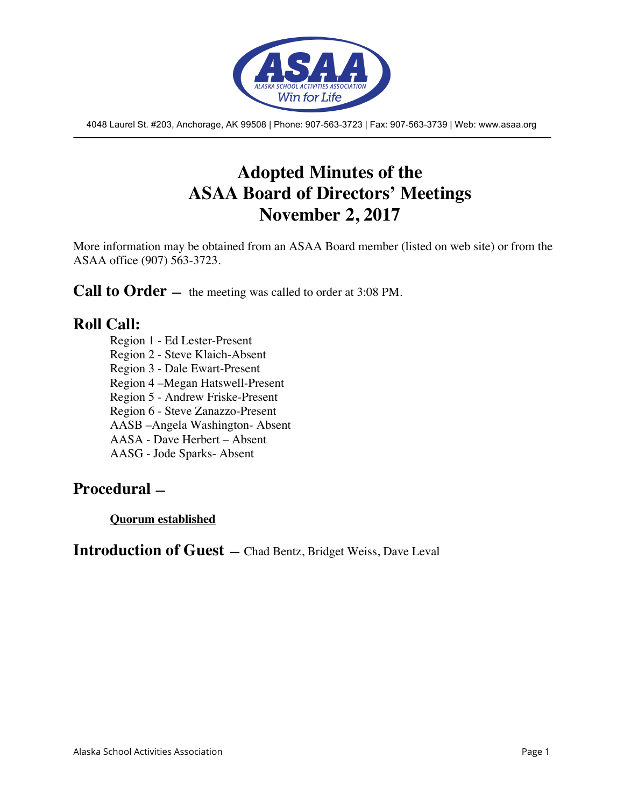

4048 Laurel St. #203, Anchorage, AK 99508 | Phone: 907-563-3723 | Fax: 907-563-3739 | Web: www.asaa.org

## **Adopted Minutes of the ASAA Board of Directors' Meetings November 2, 2017**

More information may be obtained from an ASAA Board member (listed on web site) or from the ASAA office (907) 563-3723.

**Call to Order** — the meeting was called to order at 3:08 PM.

## **Roll Call:**

Region 1 - Ed Lester-Present Region 2 - Steve Klaich-Absent Region 3 - Dale Ewart-Present Region 4 –Megan Hatswell-Present Region 5 - Andrew Friske-Present Region 6 - Steve Zanazzo-Present AASB –Angela Washington- Absent AASA - Dave Herbert – Absent AASG - Jode Sparks- Absent

## **Procedural —**

**Quorum established**

**Introduction of Guest —** Chad Bentz, Bridget Weiss, Dave Leval